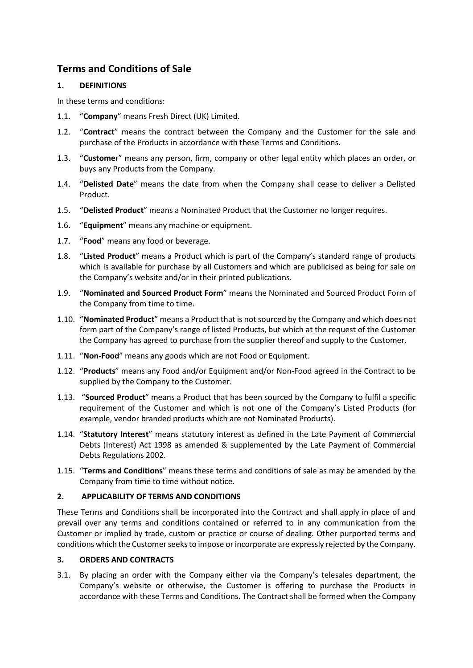# **Terms and Conditions of Sale**

# **1. DEFINITIONS**

In these terms and conditions:

- 1.1. "**Company**" means Fresh Direct (UK) Limited.
- 1.2. "**Contract**" means the contract between the Company and the Customer for the sale and purchase of the Products in accordance with these Terms and Conditions.
- 1.3. "**Custome**r" means any person, firm, company or other legal entity which places an order, or buys any Products from the Company.
- 1.4. "**Delisted Date**" means the date from when the Company shall cease to deliver a Delisted Product.
- 1.5. "**Delisted Product**" means a Nominated Product that the Customer no longer requires.
- 1.6. "**Equipment**" means any machine or equipment.
- 1.7. "**Food**" means any food or beverage.
- 1.8. "**Listed Product**" means a Product which is part of the Company's standard range of products which is available for purchase by all Customers and which are publicised as being for sale on the Company's website and/or in their printed publications.
- 1.9. "**Nominated and Sourced Product Form**" means the Nominated and Sourced Product Form of the Company from time to time.
- 1.10. "**Nominated Product**" means a Product that is not sourced by the Company and which does not form part of the Company's range of listed Products, but which at the request of the Customer the Company has agreed to purchase from the supplier thereof and supply to the Customer.
- 1.11. "**Non-Food**" means any goods which are not Food or Equipment.
- 1.12. "**Products**" means any Food and/or Equipment and/or Non-Food agreed in the Contract to be supplied by the Company to the Customer.
- 1.13. "**Sourced Product**" means a Product that has been sourced by the Company to fulfil a specific requirement of the Customer and which is not one of the Company's Listed Products (for example, vendor branded products which are not Nominated Products).
- 1.14. "**Statutory Interest**" means statutory interest as defined in the Late Payment of Commercial Debts (Interest) Act 1998 as amended & supplemented by the Late Payment of Commercial Debts Regulations 2002.
- 1.15. "**Terms and Conditions**" means these terms and conditions of sale as may be amended by the Company from time to time without notice.

# **2. APPLICABILITY OF TERMS AND CONDITIONS**

These Terms and Conditions shall be incorporated into the Contract and shall apply in place of and prevail over any terms and conditions contained or referred to in any communication from the Customer or implied by trade, custom or practice or course of dealing. Other purported terms and conditions which the Customer seeks to impose or incorporate are expressly rejected by the Company.

# **3. ORDERS AND CONTRACTS**

3.1. By placing an order with the Company either via the Company's telesales department, the Company's website or otherwise, the Customer is offering to purchase the Products in accordance with these Terms and Conditions. The Contract shall be formed when the Company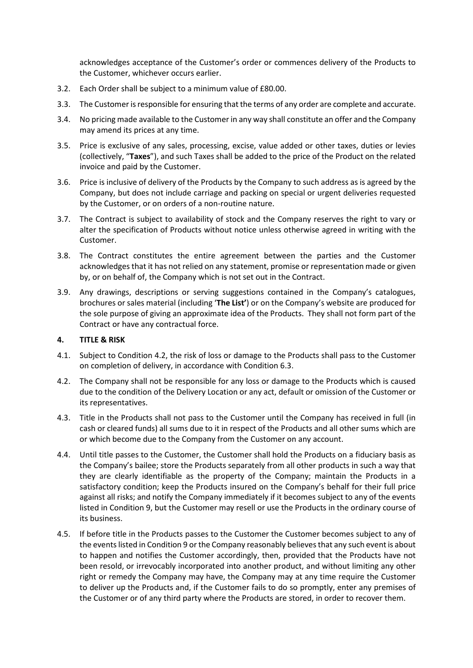acknowledges acceptance of the Customer's order or commences delivery of the Products to the Customer, whichever occurs earlier.

- 3.2. Each Order shall be subject to a minimum value of £80.00.
- 3.3. The Customer is responsible for ensuring that the terms of any order are complete and accurate.
- 3.4. No pricing made available to the Customer in any way shall constitute an offer and the Company may amend its prices at any time.
- 3.5. Price is exclusive of any sales, processing, excise, value added or other taxes, duties or levies (collectively, "**Taxes**"), and such Taxes shall be added to the price of the Product on the related invoice and paid by the Customer.
- 3.6. Price is inclusive of delivery of the Products by the Company to such address as is agreed by the Company, but does not include carriage and packing on special or urgent deliveries requested by the Customer, or on orders of a non-routine nature.
- 3.7. The Contract is subject to availability of stock and the Company reserves the right to vary or alter the specification of Products without notice unless otherwise agreed in writing with the Customer.
- 3.8. The Contract constitutes the entire agreement between the parties and the Customer acknowledges that it has not relied on any statement, promise or representation made or given by, or on behalf of, the Company which is not set out in the Contract.
- 3.9. Any drawings, descriptions or serving suggestions contained in the Company's catalogues, brochures or sales material (including '**The List'**) or on the Company's website are produced for the sole purpose of giving an approximate idea of the Products. They shall not form part of the Contract or have any contractual force.

# **4. TITLE & RISK**

- 4.1. Subject to Condition [4.2,](#page-1-0) the risk of loss or damage to the Products shall pass to the Customer on completion of delivery, in accordance with Condition [6.3.](#page-2-0)
- <span id="page-1-0"></span>4.2. The Company shall not be responsible for any loss or damage to the Products which is caused due to the condition of the Delivery Location or any act, default or omission of the Customer or its representatives.
- 4.3. Title in the Products shall not pass to the Customer until the Company has received in full (in cash or cleared funds) all sums due to it in respect of the Products and all other sums which are or which become due to the Company from the Customer on any account.
- 4.4. Until title passes to the Customer, the Customer shall hold the Products on a fiduciary basis as the Company's bailee; store the Products separately from all other products in such a way that they are clearly identifiable as the property of the Company; maintain the Products in a satisfactory condition; keep the Products insured on the Company's behalf for their full price against all risks; and notify the Company immediately if it becomes subject to any of the events listed in Condition [9,](#page-3-0) but the Customer may resell or use the Products in the ordinary course of its business.
- 4.5. If before title in the Products passes to the Customer the Customer becomes subject to any of the events listed in Conditio[n 9](#page-3-0) or the Company reasonably believes that any such event is about to happen and notifies the Customer accordingly, then, provided that the Products have not been resold, or irrevocably incorporated into another product, and without limiting any other right or remedy the Company may have, the Company may at any time require the Customer to deliver up the Products and, if the Customer fails to do so promptly, enter any premises of the Customer or of any third party where the Products are stored, in order to recover them.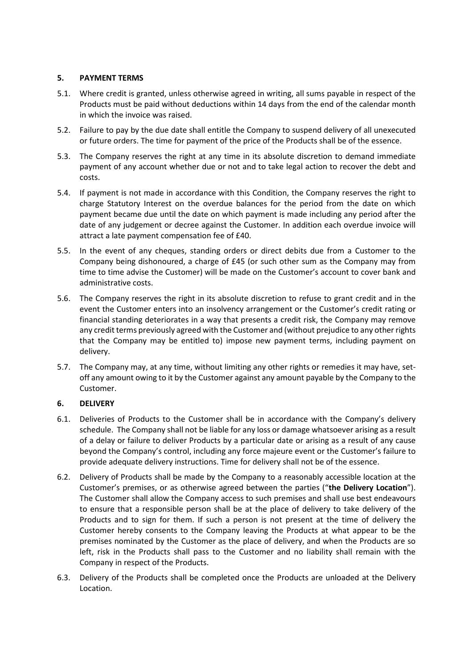### **5. PAYMENT TERMS**

- 5.1. Where credit is granted, unless otherwise agreed in writing, all sums payable in respect of the Products must be paid without deductions within 14 days from the end of the calendar month in which the invoice was raised.
- 5.2. Failure to pay by the due date shall entitle the Company to suspend delivery of all unexecuted or future orders. The time for payment of the price of the Products shall be of the essence.
- 5.3. The Company reserves the right at any time in its absolute discretion to demand immediate payment of any account whether due or not and to take legal action to recover the debt and costs.
- 5.4. If payment is not made in accordance with this Condition, the Company reserves the right to charge Statutory Interest on the overdue balances for the period from the date on which payment became due until the date on which payment is made including any period after the date of any judgement or decree against the Customer. In addition each overdue invoice will attract a late payment compensation fee of £40.
- 5.5. In the event of any cheques, standing orders or direct debits due from a Customer to the Company being dishonoured, a charge of £45 (or such other sum as the Company may from time to time advise the Customer) will be made on the Customer's account to cover bank and administrative costs.
- 5.6. The Company reserves the right in its absolute discretion to refuse to grant credit and in the event the Customer enters into an insolvency arrangement or the Customer's credit rating or financial standing deteriorates in a way that presents a credit risk, the Company may remove any credit terms previously agreed with the Customer and (without prejudice to any other rights that the Company may be entitled to) impose new payment terms, including payment on delivery.
- 5.7. The Company may, at any time, without limiting any other rights or remedies it may have, setoff any amount owing to it by the Customer against any amount payable by the Company to the Customer.

#### **6. DELIVERY**

- 6.1. Deliveries of Products to the Customer shall be in accordance with the Company's delivery schedule. The Company shall not be liable for any loss or damage whatsoever arising as a result of a delay or failure to deliver Products by a particular date or arising as a result of any cause beyond the Company's control, including any force majeure event or the Customer's failure to provide adequate delivery instructions. Time for delivery shall not be of the essence.
- 6.2. Delivery of Products shall be made by the Company to a reasonably accessible location at the Customer's premises, or as otherwise agreed between the parties ("**the Delivery Location**"). The Customer shall allow the Company access to such premises and shall use best endeavours to ensure that a responsible person shall be at the place of delivery to take delivery of the Products and to sign for them. If such a person is not present at the time of delivery the Customer hereby consents to the Company leaving the Products at what appear to be the premises nominated by the Customer as the place of delivery, and when the Products are so left, risk in the Products shall pass to the Customer and no liability shall remain with the Company in respect of the Products.
- <span id="page-2-0"></span>6.3. Delivery of the Products shall be completed once the Products are unloaded at the Delivery Location.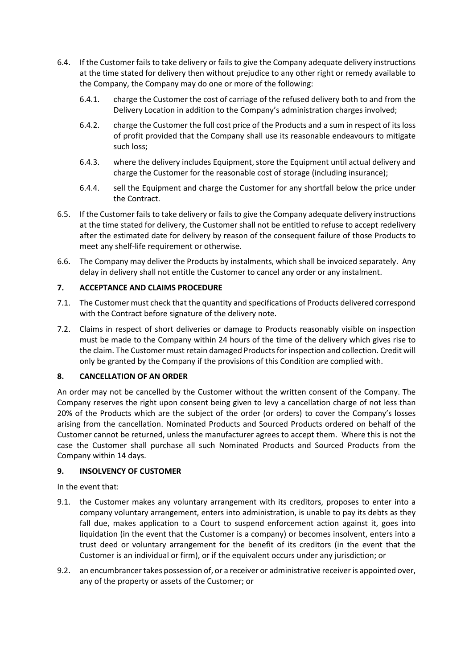- 6.4. If the Customer fails to take delivery or fails to give the Company adequate delivery instructions at the time stated for delivery then without prejudice to any other right or remedy available to the Company, the Company may do one or more of the following:
	- 6.4.1. charge the Customer the cost of carriage of the refused delivery both to and from the Delivery Location in addition to the Company's administration charges involved;
	- 6.4.2. charge the Customer the full cost price of the Products and a sum in respect of its loss of profit provided that the Company shall use its reasonable endeavours to mitigate such loss;
	- 6.4.3. where the delivery includes Equipment, store the Equipment until actual delivery and charge the Customer for the reasonable cost of storage (including insurance);
	- 6.4.4. sell the Equipment and charge the Customer for any shortfall below the price under the Contract.
- 6.5. If the Customer fails to take delivery or fails to give the Company adequate delivery instructions at the time stated for delivery, the Customer shall not be entitled to refuse to accept redelivery after the estimated date for delivery by reason of the consequent failure of those Products to meet any shelf-life requirement or otherwise.
- 6.6. The Company may deliver the Products by instalments, which shall be invoiced separately. Any delay in delivery shall not entitle the Customer to cancel any order or any instalment.

# <span id="page-3-1"></span>**7. ACCEPTANCE AND CLAIMS PROCEDURE**

- 7.1. The Customer must check that the quantity and specifications of Products delivered correspond with the Contract before signature of the delivery note.
- 7.2. Claims in respect of short deliveries or damage to Products reasonably visible on inspection must be made to the Company within 24 hours of the time of the delivery which gives rise to the claim. The Customer must retain damaged Products for inspection and collection. Credit will only be granted by the Company if the provisions of this Condition are complied with.

# **8. CANCELLATION OF AN ORDER**

An order may not be cancelled by the Customer without the written consent of the Company. The Company reserves the right upon consent being given to levy a cancellation charge of not less than 20% of the Products which are the subject of the order (or orders) to cover the Company's losses arising from the cancellation. Nominated Products and Sourced Products ordered on behalf of the Customer cannot be returned, unless the manufacturer agrees to accept them. Where this is not the case the Customer shall purchase all such Nominated Products and Sourced Products from the Company within 14 days.

# <span id="page-3-0"></span>**9. INSOLVENCY OF CUSTOMER**

In the event that:

- 9.1. the Customer makes any voluntary arrangement with its creditors, proposes to enter into a company voluntary arrangement, enters into administration, is unable to pay its debts as they fall due, makes application to a Court to suspend enforcement action against it, goes into liquidation (in the event that the Customer is a company) or becomes insolvent, enters into a trust deed or voluntary arrangement for the benefit of its creditors (in the event that the Customer is an individual or firm), or if the equivalent occurs under any jurisdiction; or
- 9.2. an encumbrancer takes possession of, or a receiver or administrative receiver is appointed over, any of the property or assets of the Customer; or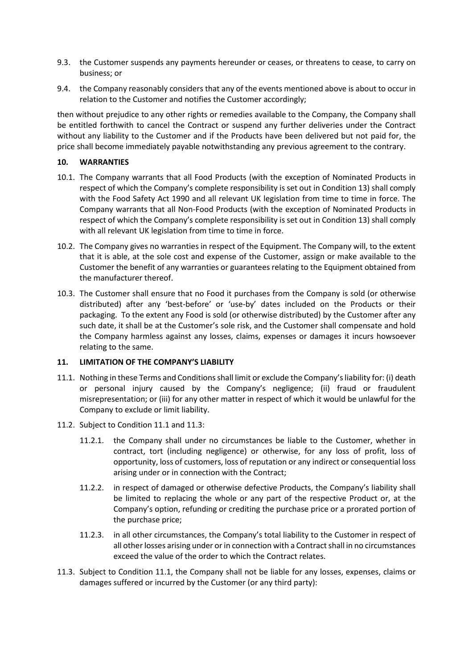- 9.3. the Customer suspends any payments hereunder or ceases, or threatens to cease, to carry on business; or
- 9.4. the Company reasonably considers that any of the events mentioned above is about to occur in relation to the Customer and notifies the Customer accordingly;

then without prejudice to any other rights or remedies available to the Company, the Company shall be entitled forthwith to cancel the Contract or suspend any further deliveries under the Contract without any liability to the Customer and if the Products have been delivered but not paid for, the price shall become immediately payable notwithstanding any previous agreement to the contrary.

#### **10. WARRANTIES**

- 10.1. The Company warrants that all Food Products (with the exception of Nominated Products in respect of which the Company's complete responsibility is set out in Condition [13\)](#page-5-0) shall comply with the Food Safety Act 1990 and all relevant UK legislation from time to time in force. The Company warrants that all Non-Food Products (with the exception of Nominated Products in respect of which the Company's complete responsibility is set out in Condition [13\)](#page-5-0) shall comply with all relevant UK legislation from time to time in force.
- 10.2. The Company gives no warranties in respect of the Equipment. The Company will, to the extent that it is able, at the sole cost and expense of the Customer, assign or make available to the Customer the benefit of any warranties or guarantees relating to the Equipment obtained from the manufacturer thereof.
- 10.3. The Customer shall ensure that no Food it purchases from the Company is sold (or otherwise distributed) after any 'best-before' or 'use-by' dates included on the Products or their packaging. To the extent any Food is sold (or otherwise distributed) by the Customer after any such date, it shall be at the Customer's sole risk, and the Customer shall compensate and hold the Company harmless against any losses, claims, expenses or damages it incurs howsoever relating to the same.

#### **11. LIMITATION OF THE COMPANY'S LIABILITY**

- <span id="page-4-0"></span>11.1. Nothing in these Terms and Conditions shall limit or exclude the Company's liability for: (i) death or personal injury caused by the Company's negligence; (ii) fraud or fraudulent misrepresentation; or (iii) for any other matter in respect of which it would be unlawful for the Company to exclude or limit liability.
- 11.2. Subject to Condition [11.1](#page-4-0) and [11.3:](#page-4-1)
	- 11.2.1. the Company shall under no circumstances be liable to the Customer, whether in contract, tort (including negligence) or otherwise, for any loss of profit, loss of opportunity, loss of customers, loss of reputation or any indirect or consequential loss arising under or in connection with the Contract;
	- 11.2.2. in respect of damaged or otherwise defective Products, the Company's liability shall be limited to replacing the whole or any part of the respective Product or, at the Company's option, refunding or crediting the purchase price or a prorated portion of the purchase price;
	- 11.2.3. in all other circumstances, the Company's total liability to the Customer in respect of all other losses arising under or in connection with a Contract shall in no circumstances exceed the value of the order to which the Contract relates.
- <span id="page-4-1"></span>11.3. Subject to Condition [11.1,](#page-4-0) the Company shall not be liable for any losses, expenses, claims or damages suffered or incurred by the Customer (or any third party):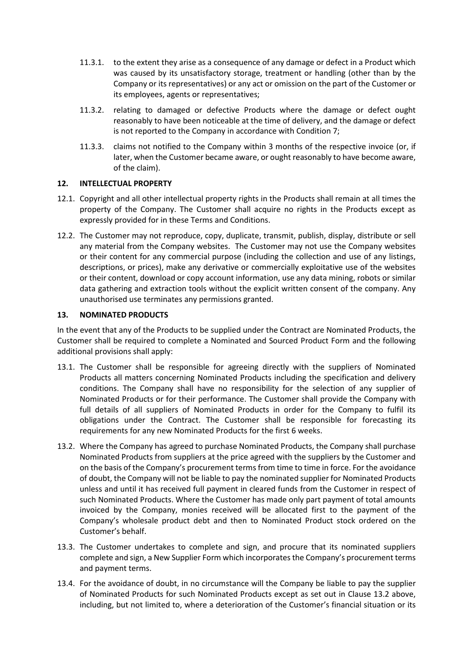- 11.3.1. to the extent they arise as a consequence of any damage or defect in a Product which was caused by its unsatisfactory storage, treatment or handling (other than by the Company or its representatives) or any act or omission on the part of the Customer or its employees, agents or representatives;
- 11.3.2. relating to damaged or defective Products where the damage or defect ought reasonably to have been noticeable at the time of delivery, and the damage or defect is not reported to the Company in accordance with Condition [7;](#page-3-1)
- 11.3.3. claims not notified to the Company within 3 months of the respective invoice (or, if later, when the Customer became aware, or ought reasonably to have become aware, of the claim).

#### **12. INTELLECTUAL PROPERTY**

- 12.1. Copyright and all other intellectual property rights in the Products shall remain at all times the property of the Company. The Customer shall acquire no rights in the Products except as expressly provided for in these Terms and Conditions.
- 12.2. The Customer may not reproduce, copy, duplicate, transmit, publish, display, distribute or sell any material from the Company websites. The Customer may not use the Company websites or their content for any commercial purpose (including the collection and use of any listings, descriptions, or prices), make any derivative or commercially exploitative use of the websites or their content, download or copy account information, use any data mining, robots or similar data gathering and extraction tools without the explicit written consent of the company. Any unauthorised use terminates any permissions granted.

### <span id="page-5-0"></span>**13. NOMINATED PRODUCTS**

In the event that any of the Products to be supplied under the Contract are Nominated Products, the Customer shall be required to complete a Nominated and Sourced Product Form and the following additional provisions shall apply:

- 13.1. The Customer shall be responsible for agreeing directly with the suppliers of Nominated Products all matters concerning Nominated Products including the specification and delivery conditions. The Company shall have no responsibility for the selection of any supplier of Nominated Products or for their performance. The Customer shall provide the Company with full details of all suppliers of Nominated Products in order for the Company to fulfil its obligations under the Contract. The Customer shall be responsible for forecasting its requirements for any new Nominated Products for the first 6 weeks.
- 13.2. Where the Company has agreed to purchase Nominated Products, the Company shall purchase Nominated Products from suppliers at the price agreed with the suppliers by the Customer and on the basis of the Company's procurement terms from time to time in force. For the avoidance of doubt, the Company will not be liable to pay the nominated supplier for Nominated Products unless and until it has received full payment in cleared funds from the Customer in respect of such Nominated Products. Where the Customer has made only part payment of total amounts invoiced by the Company, monies received will be allocated first to the payment of the Company's wholesale product debt and then to Nominated Product stock ordered on the Customer's behalf.
- 13.3. The Customer undertakes to complete and sign, and procure that its nominated suppliers complete and sign, a New Supplier Form which incorporates the Company's procurement terms and payment terms.
- 13.4. For the avoidance of doubt, in no circumstance will the Company be liable to pay the supplier of Nominated Products for such Nominated Products except as set out in Clause 13.2 above, including, but not limited to, where a deterioration of the Customer's financial situation or its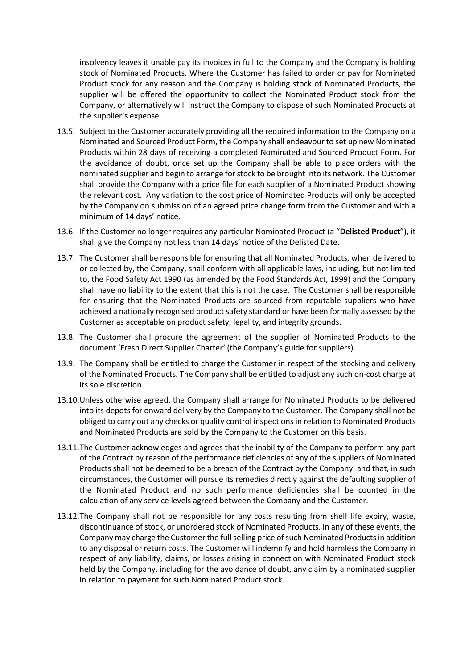insolvency leaves it unable pay its invoices in full to the Company and the Company is holding stock of Nominated Products. Where the Customer has failed to order or pay for Nominated Product stock for any reason and the Company is holding stock of Nominated Products, the supplier will be offered the opportunity to collect the Nominated Product stock from the Company, or alternatively will instruct the Company to dispose of such Nominated Products at the supplier's expense.

- 13.5. Subject to the Customer accurately providing all the required information to the Company on a Nominated and Sourced Product Form, the Company shall endeavour to set up new Nominated Products within 28 days of receiving a completed Nominated and Sourced Product Form. For the avoidance of doubt, once set up the Company shall be able to place orders with the nominated supplier and begin to arrange for stock to be brought into its network. The Customer shall provide the Company with a price file for each supplier of a Nominated Product showing the relevant cost. Any variation to the cost price of Nominated Products will only be accepted by the Company on submission of an agreed price change form from the Customer and with a minimum of 14 days' notice.
- 13.6. If the Customer no longer requires any particular Nominated Product (a "**Delisted Product**"), it shall give the Company not less than 14 days' notice of the Delisted Date.
- 13.7. The Customer shall be responsible for ensuring that all Nominated Products, when delivered to or collected by, the Company, shall conform with all applicable laws, including, but not limited to, the Food Safety Act 1990 (as amended by the Food Standards Act, 1999) and the Company shall have no liability to the extent that this is not the case. The Customer shall be responsible for ensuring that the Nominated Products are sourced from reputable suppliers who have achieved a nationally recognised product safety standard or have been formally assessed by the Customer as acceptable on product safety, legality, and integrity grounds.
- 13.8. The Customer shall procure the agreement of the supplier of Nominated Products to the document 'Fresh Direct Supplier Charter' (the Company's guide for suppliers).
- 13.9. The Company shall be entitled to charge the Customer in respect of the stocking and delivery of the Nominated Products. The Company shall be entitled to adjust any such on-cost charge at its sole discretion.
- 13.10.Unless otherwise agreed, the Company shall arrange for Nominated Products to be delivered into its depots for onward delivery by the Company to the Customer. The Company shall not be obliged to carry out any checks or quality control inspections in relation to Nominated Products and Nominated Products are sold by the Company to the Customer on this basis.
- 13.11.The Customer acknowledges and agrees that the inability of the Company to perform any part of the Contract by reason of the performance deficiencies of any of the suppliers of Nominated Products shall not be deemed to be a breach of the Contract by the Company, and that, in such circumstances, the Customer will pursue its remedies directly against the defaulting supplier of the Nominated Product and no such performance deficiencies shall be counted in the calculation of any service levels agreed between the Company and the Customer.
- 13.12.The Company shall not be responsible for any costs resulting from shelf life expiry, waste, discontinuance of stock, or unordered stock of Nominated Products. In any of these events, the Company may charge the Customer the full selling price of such Nominated Products in addition to any disposal or return costs. The Customer will indemnify and hold harmless the Company in respect of any liability, claims, or losses arising in connection with Nominated Product stock held by the Company, including for the avoidance of doubt, any claim by a nominated supplier in relation to payment for such Nominated Product stock.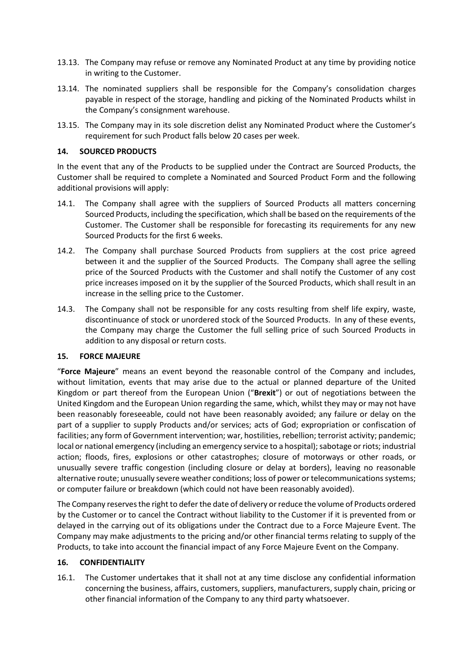- 13.13. The Company may refuse or remove any Nominated Product at any time by providing notice in writing to the Customer.
- 13.14. The nominated suppliers shall be responsible for the Company's consolidation charges payable in respect of the storage, handling and picking of the Nominated Products whilst in the Company's consignment warehouse.
- 13.15. The Company may in its sole discretion delist any Nominated Product where the Customer's requirement for such Product falls below 20 cases per week.

#### **14. SOURCED PRODUCTS**

In the event that any of the Products to be supplied under the Contract are Sourced Products, the Customer shall be required to complete a Nominated and Sourced Product Form and the following additional provisions will apply:

- 14.1. The Company shall agree with the suppliers of Sourced Products all matters concerning Sourced Products, including the specification, which shall be based on the requirements of the Customer. The Customer shall be responsible for forecasting its requirements for any new Sourced Products for the first 6 weeks.
- 14.2. The Company shall purchase Sourced Products from suppliers at the cost price agreed between it and the supplier of the Sourced Products. The Company shall agree the selling price of the Sourced Products with the Customer and shall notify the Customer of any cost price increases imposed on it by the supplier of the Sourced Products, which shall result in an increase in the selling price to the Customer.
- 14.3. The Company shall not be responsible for any costs resulting from shelf life expiry, waste, discontinuance of stock or unordered stock of the Sourced Products. In any of these events, the Company may charge the Customer the full selling price of such Sourced Products in addition to any disposal or return costs.

#### **15. FORCE MAJEURE**

"**Force Majeure**" means an event beyond the reasonable control of the Company and includes, without limitation, events that may arise due to the actual or planned departure of the United Kingdom or part thereof from the European Union ("**Brexit**") or out of negotiations between the United Kingdom and the European Union regarding the same, which, whilst they may or may not have been reasonably foreseeable, could not have been reasonably avoided; any failure or delay on the part of a supplier to supply Products and/or services; acts of God; expropriation or confiscation of facilities; any form of Government intervention; war, hostilities, rebellion; terrorist activity; pandemic; local or national emergency (including an emergency service to a hospital); sabotage or riots; industrial action; floods, fires, explosions or other catastrophes; closure of motorways or other roads, or unusually severe traffic congestion (including closure or delay at borders), leaving no reasonable alternative route; unusually severe weather conditions; loss of power or telecommunications systems; or computer failure or breakdown (which could not have been reasonably avoided).

The Company reserves the right to defer the date of delivery or reduce the volume of Products ordered by the Customer or to cancel the Contract without liability to the Customer if it is prevented from or delayed in the carrying out of its obligations under the Contract due to a Force Majeure Event. The Company may make adjustments to the pricing and/or other financial terms relating to supply of the Products, to take into account the financial impact of any Force Majeure Event on the Company.

#### **16. CONFIDENTIALITY**

16.1. The Customer undertakes that it shall not at any time disclose any confidential information concerning the business, affairs, customers, suppliers, manufacturers, supply chain, pricing or other financial information of the Company to any third party whatsoever.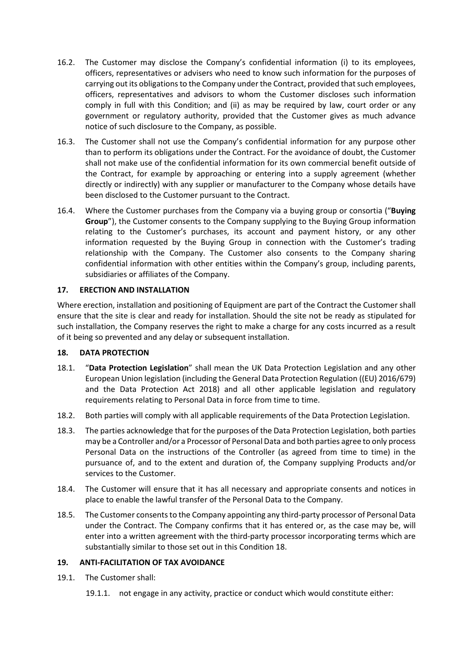- 16.2. The Customer may disclose the Company's confidential information (i) to its employees, officers, representatives or advisers who need to know such information for the purposes of carrying out its obligations to the Company under the Contract, provided that such employees, officers, representatives and advisors to whom the Customer discloses such information comply in full with this Condition; and (ii) as may be required by law, court order or any government or regulatory authority, provided that the Customer gives as much advance notice of such disclosure to the Company, as possible.
- 16.3. The Customer shall not use the Company's confidential information for any purpose other than to perform its obligations under the Contract. For the avoidance of doubt, the Customer shall not make use of the confidential information for its own commercial benefit outside of the Contract, for example by approaching or entering into a supply agreement (whether directly or indirectly) with any supplier or manufacturer to the Company whose details have been disclosed to the Customer pursuant to the Contract.
- 16.4. Where the Customer purchases from the Company via a buying group or consortia ("**Buying Group**"), the Customer consents to the Company supplying to the Buying Group information relating to the Customer's purchases, its account and payment history, or any other information requested by the Buying Group in connection with the Customer's trading relationship with the Company. The Customer also consents to the Company sharing confidential information with other entities within the Company's group, including parents, subsidiaries or affiliates of the Company.

### **17. ERECTION AND INSTALLATION**

Where erection, installation and positioning of Equipment are part of the Contract the Customer shall ensure that the site is clear and ready for installation. Should the site not be ready as stipulated for such installation, the Company reserves the right to make a charge for any costs incurred as a result of it being so prevented and any delay or subsequent installation.

#### <span id="page-8-0"></span>**18. DATA PROTECTION**

- 18.1. "**Data Protection Legislation**" shall mean the UK Data Protection Legislation and any other European Union legislation (including the General Data Protection Regulation ((EU) 2016/679) and the Data Protection Act 2018) and all other applicable legislation and regulatory requirements relating to Personal Data in force from time to time.
- 18.2. Both parties will comply with all applicable requirements of the Data Protection Legislation.
- 18.3. The parties acknowledge that for the purposes of the Data Protection Legislation, both parties may be a Controller and/or a Processor of Personal Data and both parties agree to only process Personal Data on the instructions of the Controller (as agreed from time to time) in the pursuance of, and to the extent and duration of, the Company supplying Products and/or services to the Customer.
- 18.4. The Customer will ensure that it has all necessary and appropriate consents and notices in place to enable the lawful transfer of the Personal Data to the Company.
- 18.5. The Customer consents to the Company appointing any third-party processor of Personal Data under the Contract. The Company confirms that it has entered or, as the case may be, will enter into a written agreement with the third-party processor incorporating terms which are substantially similar to those set out in this Condition [18.](#page-8-0)

### **19. ANTI-FACILITATION OF TAX AVOIDANCE**

- <span id="page-8-1"></span>19.1. The Customer shall:
	- 19.1.1. not engage in any activity, practice or conduct which would constitute either: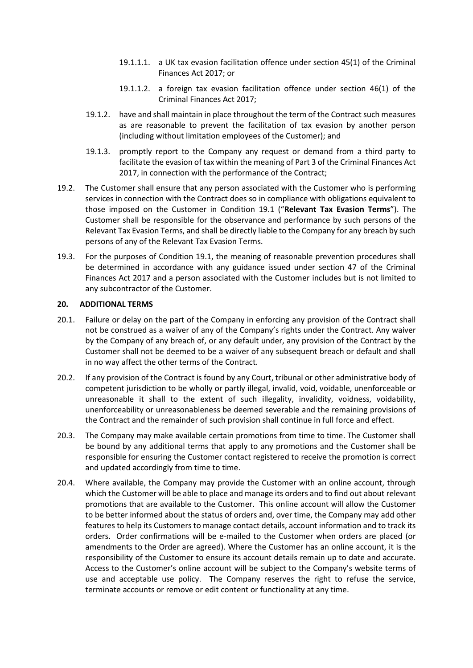- 19.1.1.1. a UK tax evasion facilitation offence under section 45(1) of the Criminal Finances Act 2017; or
- 19.1.1.2. a foreign tax evasion facilitation offence under section 46(1) of the Criminal Finances Act 2017;
- 19.1.2. have and shall maintain in place throughout the term of the Contract such measures as are reasonable to prevent the facilitation of tax evasion by another person (including without limitation employees of the Customer); and
- 19.1.3. promptly report to the Company any request or demand from a third party to facilitate the evasion of tax within the meaning of Part 3 of the Criminal Finances Act 2017, in connection with the performance of the Contract;
- 19.2. The Customer shall ensure that any person associated with the Customer who is performing services in connection with the Contract does so in compliance with obligations equivalent to those imposed on the Customer in Condition [19.1](#page-8-1) ("**Relevant Tax Evasion Terms**"). The Customer shall be responsible for the observance and performance by such persons of the Relevant Tax Evasion Terms, and shall be directly liable to the Company for any breach by such persons of any of the Relevant Tax Evasion Terms.
- 19.3. For the purposes of Condition [19.1,](#page-8-1) the meaning of reasonable prevention procedures shall be determined in accordance with any guidance issued under section 47 of the Criminal Finances Act 2017 and a person associated with the Customer includes but is not limited to any subcontractor of the Customer.

#### **20. ADDITIONAL TERMS**

- 20.1. Failure or delay on the part of the Company in enforcing any provision of the Contract shall not be construed as a waiver of any of the Company's rights under the Contract. Any waiver by the Company of any breach of, or any default under, any provision of the Contract by the Customer shall not be deemed to be a waiver of any subsequent breach or default and shall in no way affect the other terms of the Contract.
- 20.2. If any provision of the Contract is found by any Court, tribunal or other administrative body of competent jurisdiction to be wholly or partly illegal, invalid, void, voidable, unenforceable or unreasonable it shall to the extent of such illegality, invalidity, voidness, voidability, unenforceability or unreasonableness be deemed severable and the remaining provisions of the Contract and the remainder of such provision shall continue in full force and effect.
- 20.3. The Company may make available certain promotions from time to time. The Customer shall be bound by any additional terms that apply to any promotions and the Customer shall be responsible for ensuring the Customer contact registered to receive the promotion is correct and updated accordingly from time to time.
- 20.4. Where available, the Company may provide the Customer with an online account, through which the Customer will be able to place and manage its orders and to find out about relevant promotions that are available to the Customer. This online account will allow the Customer to be better informed about the status of orders and, over time, the Company may add other features to help its Customers to manage contact details, account information and to track its orders. Order confirmations will be e-mailed to the Customer when orders are placed (or amendments to the Order are agreed). Where the Customer has an online account, it is the responsibility of the Customer to ensure its account details remain up to date and accurate. Access to the Customer's online account will be subject to the Company's website terms of use and acceptable use policy. The Company reserves the right to refuse the service, terminate accounts or remove or edit content or functionality at any time.